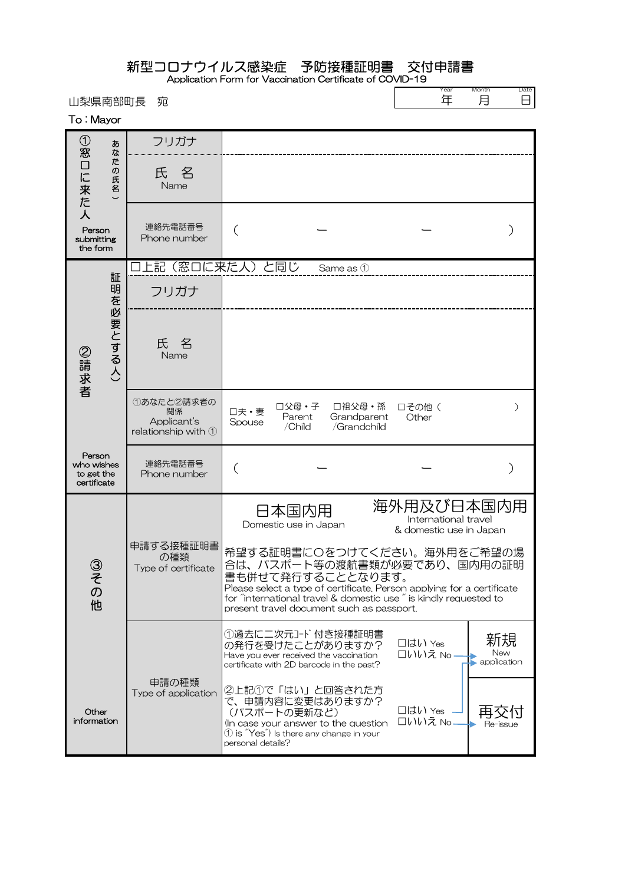## 新型コロナウイルス感染症 予防接種証明書 交付申請書

Application Form for Vaccination Certificate of COVID-19

山梨県南部町長 宛

| Year | Month | e |
|------|-------|---|
|      |       |   |

To : Mayor

| $^\copyright$<br>あ<br>窓<br>な                      |                                     | フリガナ                                                             |                   |                                                                                     |                                                                             |                                                                                                                                                                                                          |                          |
|---------------------------------------------------|-------------------------------------|------------------------------------------------------------------|-------------------|-------------------------------------------------------------------------------------|-----------------------------------------------------------------------------|----------------------------------------------------------------------------------------------------------------------------------------------------------------------------------------------------------|--------------------------|
| こと来た                                              | た<br>の<br>氏<br>$\tilde{\mathbf{z}}$ | 氏 名<br>Name                                                      |                   |                                                                                     |                                                                             |                                                                                                                                                                                                          |                          |
| 人<br>Person<br>submitting<br>the form             |                                     | 連絡先電話番号<br>Phone number                                          | (                 |                                                                                     |                                                                             |                                                                                                                                                                                                          |                          |
| 証                                                 |                                     | 上記(窓口に来た人)と同じ                                                    |                   |                                                                                     | Same as 1                                                                   |                                                                                                                                                                                                          |                          |
|                                                   |                                     | フリガナ                                                             |                   |                                                                                     |                                                                             |                                                                                                                                                                                                          |                          |
| 明を必要とする人)<br>②請求者                                 |                                     | 氏名<br>Name                                                       |                   |                                                                                     |                                                                             |                                                                                                                                                                                                          |                          |
|                                                   |                                     | ①あなたと2請求者の<br>関係<br>Applicant's<br>relationship with $\mathbb O$ | □夫・妻<br>Spouse    | 口父母·子<br>Parent<br>/Child                                                           | 口祖父母·孫<br>Grandparent<br>/Grandchild                                        | 口その他(<br>Other                                                                                                                                                                                           | $\mathcal{E}$            |
| Person<br>who wishes<br>to get the<br>certificate |                                     | 連絡先電話番号<br>Phone number                                          | (                 |                                                                                     |                                                                             |                                                                                                                                                                                                          |                          |
| ③その<br>他<br>Other<br>information                  |                                     |                                                                  |                   | 日本国内用<br>Domestic use in Japan                                                      |                                                                             | 海外用及び日本国内用<br>International travel<br>& domestic use in Japan                                                                                                                                            |                          |
|                                                   |                                     | 申請する接種証明書<br>の種類<br>Type of certificate                          |                   |                                                                                     | 書も併せて発行することとなります。<br>present travel document such as passport.              | 希望する証明書に〇をつけてください。海外用をご希望の場<br>合は、パスポート等の渡航書類が必要であり、国内用の証明<br>Please select a type of certificate. Person applying for a certificate<br>for "international travel & domestic use" is kindly requested to |                          |
|                                                   |                                     |                                                                  |                   | Have you ever received the vaccination<br>certificate with 2D barcode in the past?  | ①過去に二次元コード付き接種証明書<br>の発行を受けたことがありますか?                                       | □はい Yes<br>□いいえ No.                                                                                                                                                                                      | 新規<br>New<br>application |
|                                                   |                                     | 申請の種類<br>Type of application                                     | personal details? | (パスポートの更新など)<br>$\textcircled{1}$ is $\textup{``Yes''}$ Is there any change in your | ②上記①で「はい」と回答された方<br>で、申請内容に変更はありますか?<br>In case your answer to the question | 口はい Yes<br>□いいえ No                                                                                                                                                                                       | Re-issue                 |